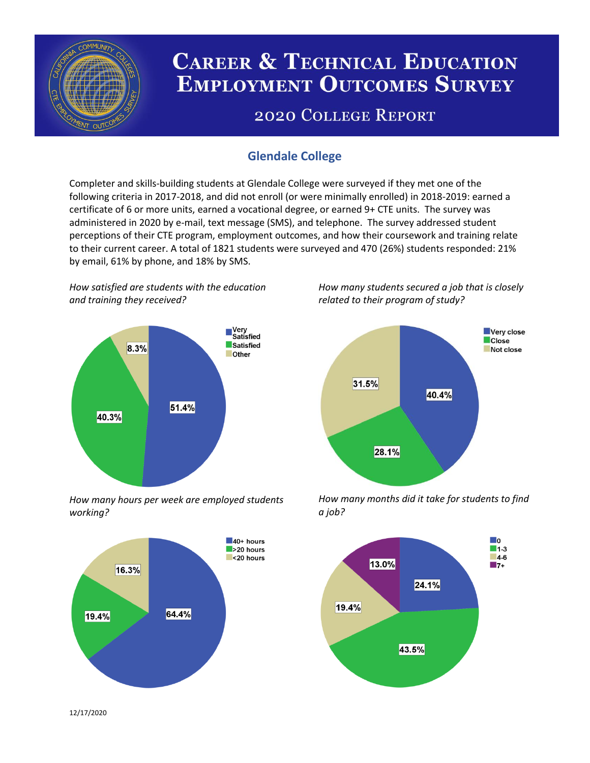

# **CAREER & TECHNICAL EDUCATION EMPLOYMENT OUTCOMES SURVEY**

## **2020 COLLEGE REPORT**

## **Glendale College**

Completer and skills-building students at Glendale College were surveyed if they met one of the following criteria in 2017-2018, and did not enroll (or were minimally enrolled) in 2018-2019: earned a certificate of 6 or more units, earned a vocational degree, or earned 9+ CTE units. The survey was administered in 2020 by e-mail, text message (SMS), and telephone. The survey addressed student perceptions of their CTE program, employment outcomes, and how their coursework and training relate to their current career. A total of 1821 students were surveyed and 470 (26%) students responded: 21% by email, 61% by phone, and 18% by SMS.

*How satisfied are students with the education and training they received?*



*How many hours per week are employed students working?*



*How many students secured a job that is closely related to their program of study?*



*How many months did it take for students to find a job?*



12/17/2020